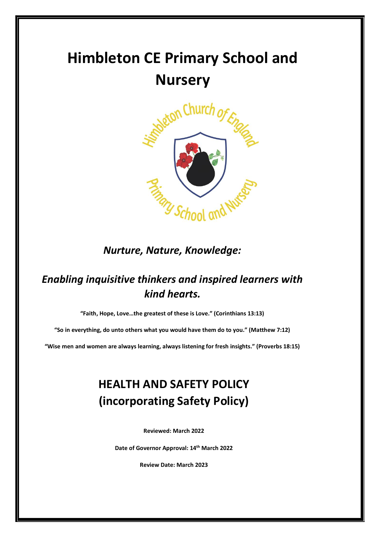# **Himbleton CE Primary School and Nursery**



*Nurture, Nature, Knowledge:* 

## *Enabling inquisitive thinkers and inspired learners with kind hearts.*

**"Faith, Hope, Love…the greatest of these is Love." (Corinthians 13:13)**

**"So in everything, do unto others what you would have them do to you." (Matthew 7:12)**

**"Wise men and women are always learning, always listening for fresh insights." (Proverbs 18:15)**

# **HEALTH AND SAFETY POLICY (incorporating Safety Policy)**

**Reviewed: March 2022**

**Date of Governor Approval: 14th March 2022**

**Review Date: March 2023**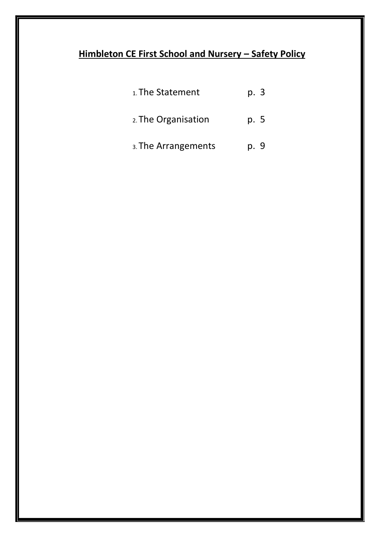## **Himbleton CE First School and Nursery – Safety Policy**

| 1. The Statement    | p. 3 |  |
|---------------------|------|--|
| 2. The Organisation | p. 5 |  |
| 3. The Arrangements | p. 9 |  |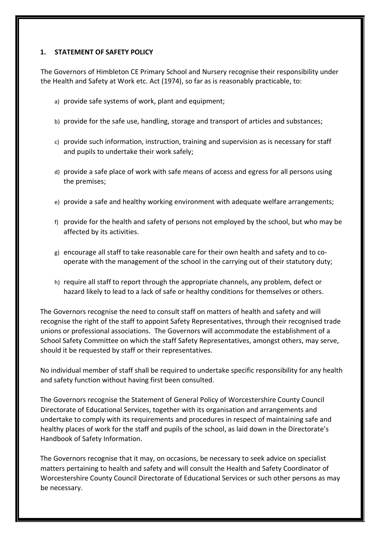#### **1. STATEMENT OF SAFETY POLICY**

The Governors of Himbleton CE Primary School and Nursery recognise their responsibility under the Health and Safety at Work etc. Act (1974), so far as is reasonably practicable, to:

- a) provide safe systems of work, plant and equipment;
- b) provide for the safe use, handling, storage and transport of articles and substances;
- c) provide such information, instruction, training and supervision as is necessary for staff and pupils to undertake their work safely;
- d) provide a safe place of work with safe means of access and egress for all persons using the premises;
- e) provide a safe and healthy working environment with adequate welfare arrangements;
- f) provide for the health and safety of persons not employed by the school, but who may be affected by its activities.
- g) encourage all staff to take reasonable care for their own health and safety and to cooperate with the management of the school in the carrying out of their statutory duty;
- h) require all staff to report through the appropriate channels, any problem, defect or hazard likely to lead to a lack of safe or healthy conditions for themselves or others.

The Governors recognise the need to consult staff on matters of health and safety and will recognise the right of the staff to appoint Safety Representatives, through their recognised trade unions or professional associations. The Governors will accommodate the establishment of a School Safety Committee on which the staff Safety Representatives, amongst others, may serve, should it be requested by staff or their representatives.

No individual member of staff shall be required to undertake specific responsibility for any health and safety function without having first been consulted.

The Governors recognise the Statement of General Policy of Worcestershire County Council Directorate of Educational Services, together with its organisation and arrangements and undertake to comply with its requirements and procedures in respect of maintaining safe and healthy places of work for the staff and pupils of the school, as laid down in the Directorate's Handbook of Safety Information.

The Governors recognise that it may, on occasions, be necessary to seek advice on specialist matters pertaining to health and safety and will consult the Health and Safety Coordinator of Worcestershire County Council Directorate of Educational Services or such other persons as may be necessary.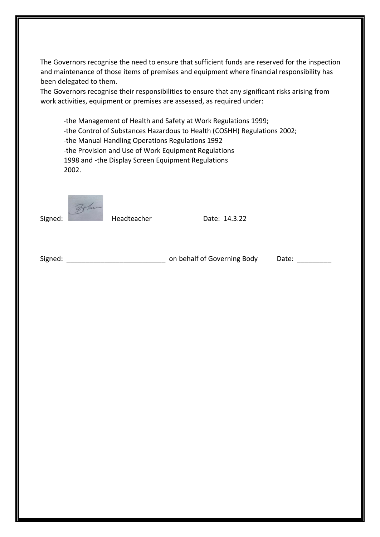The Governors recognise the need to ensure that sufficient funds are reserved for the inspection and maintenance of those items of premises and equipment where financial responsibility has been delegated to them.

The Governors recognise their responsibilities to ensure that any significant risks arising from work activities, equipment or premises are assessed, as required under:

-the Management of Health and Safety at Work Regulations 1999; -the Control of Substances Hazardous to Health (COSHH) Regulations 2002; -the Manual Handling Operations Regulations 1992 -the Provision and Use of Work Equipment Regulations 1998 and -the Display Screen Equipment Regulations 2002.

Signed: Headteacher Date: 14.3.22

Signed: \_\_\_\_\_\_\_\_\_\_\_\_\_\_\_\_\_\_\_\_\_\_\_\_\_\_ on behalf of Governing Body Date: \_\_\_\_\_\_\_\_\_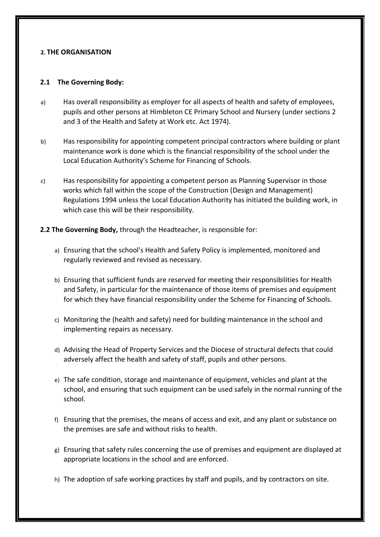#### **2. THE ORGANISATION**

#### **2.1 The Governing Body:**

- a) Has overall responsibility as employer for all aspects of health and safety of employees, pupils and other persons at Himbleton CE Primary School and Nursery (under sections 2 and 3 of the Health and Safety at Work etc. Act 1974).
- b) Has responsibility for appointing competent principal contractors where building or plant maintenance work is done which is the financial responsibility of the school under the Local Education Authority's Scheme for Financing of Schools.
- c) Has responsibility for appointing a competent person as Planning Supervisor in those works which fall within the scope of the Construction (Design and Management) Regulations 1994 unless the Local Education Authority has initiated the building work, in which case this will be their responsibility.

#### **2.2 The Governing Body,** through the Headteacher, is responsible for:

- a) Ensuring that the school's Health and Safety Policy is implemented, monitored and regularly reviewed and revised as necessary.
- b) Ensuring that sufficient funds are reserved for meeting their responsibilities for Health and Safety, in particular for the maintenance of those items of premises and equipment for which they have financial responsibility under the Scheme for Financing of Schools.
- c) Monitoring the (health and safety) need for building maintenance in the school and implementing repairs as necessary.
- d) Advising the Head of Property Services and the Diocese of structural defects that could adversely affect the health and safety of staff, pupils and other persons.
- e) The safe condition, storage and maintenance of equipment, vehicles and plant at the school, and ensuring that such equipment can be used safely in the normal running of the school.
- f) Ensuring that the premises, the means of access and exit, and any plant or substance on the premises are safe and without risks to health.
- g) Ensuring that safety rules concerning the use of premises and equipment are displayed at appropriate locations in the school and are enforced.
- h) The adoption of safe working practices by staff and pupils, and by contractors on site.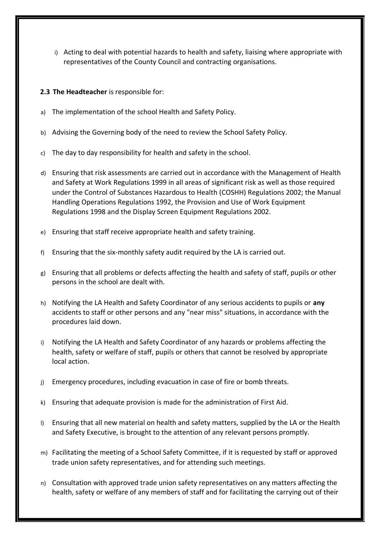- i) Acting to deal with potential hazards to health and safety, liaising where appropriate with representatives of the County Council and contracting organisations.
- **2.3 The Headteacher** is responsible for:
- a) The implementation of the school Health and Safety Policy.
- b) Advising the Governing body of the need to review the School Safety Policy.
- c) The day to day responsibility for health and safety in the school.
- d) Ensuring that risk assessments are carried out in accordance with the Management of Health and Safety at Work Regulations 1999 in all areas of significant risk as well as those required under the Control of Substances Hazardous to Health (COSHH) Regulations 2002; the Manual Handling Operations Regulations 1992, the Provision and Use of Work Equipment Regulations 1998 and the Display Screen Equipment Regulations 2002.
- e) Ensuring that staff receive appropriate health and safety training.
- f) Ensuring that the six-monthly safety audit required by the LA is carried out.
- g) Ensuring that all problems or defects affecting the health and safety of staff, pupils or other persons in the school are dealt with.
- h) Notifying the LA Health and Safety Coordinator of any serious accidents to pupils or **any** accidents to staff or other persons and any "near miss" situations, in accordance with the procedures laid down.
- i) Notifying the LA Health and Safety Coordinator of any hazards or problems affecting the health, safety or welfare of staff, pupils or others that cannot be resolved by appropriate local action.
- j) Emergency procedures, including evacuation in case of fire or bomb threats.
- k) Ensuring that adequate provision is made for the administration of First Aid.
- l) Ensuring that all new material on health and safety matters, supplied by the LA or the Health and Safety Executive, is brought to the attention of any relevant persons promptly.
- m) Facilitating the meeting of a School Safety Committee, if it is requested by staff or approved trade union safety representatives, and for attending such meetings.
- n) Consultation with approved trade union safety representatives on any matters affecting the health, safety or welfare of any members of staff and for facilitating the carrying out of their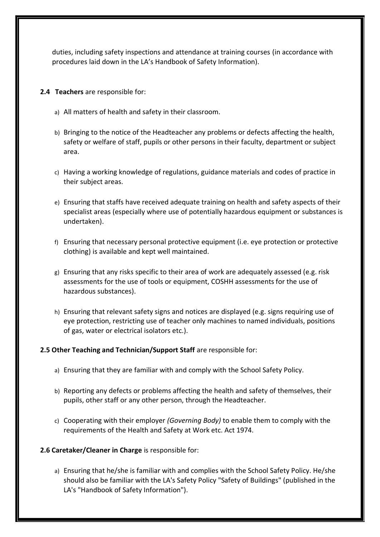duties, including safety inspections and attendance at training courses (in accordance with procedures laid down in the LA's Handbook of Safety Information).

- **2.4 Teachers** are responsible for:
	- a) All matters of health and safety in their classroom.
	- b) Bringing to the notice of the Headteacher any problems or defects affecting the health, safety or welfare of staff, pupils or other persons in their faculty, department or subject area.
	- c) Having a working knowledge of regulations, guidance materials and codes of practice in their subject areas.
	- e) Ensuring that staffs have received adequate training on health and safety aspects of their specialist areas (especially where use of potentially hazardous equipment or substances is undertaken).
	- f) Ensuring that necessary personal protective equipment (i.e. eye protection or protective clothing) is available and kept well maintained.
	- g) Ensuring that any risks specific to their area of work are adequately assessed (e.g. risk assessments for the use of tools or equipment, COSHH assessments for the use of hazardous substances).
	- h) Ensuring that relevant safety signs and notices are displayed (e.g. signs requiring use of eye protection, restricting use of teacher only machines to named individuals, positions of gas, water or electrical isolators etc.).

#### **2.5 Other Teaching and Technician/Support Staff** are responsible for:

- a) Ensuring that they are familiar with and comply with the School Safety Policy.
- b) Reporting any defects or problems affecting the health and safety of themselves, their pupils, other staff or any other person, through the Headteacher.
- c) Cooperating with their employer *(Governing Body)* to enable them to comply with the requirements of the Health and Safety at Work etc. Act 1974.
- **2.6 Caretaker/Cleaner in Charge** is responsible for:
	- a) Ensuring that he/she is familiar with and complies with the School Safety Policy. He/she should also be familiar with the LA's Safety Policy "Safety of Buildings" (published in the LA's "Handbook of Safety Information").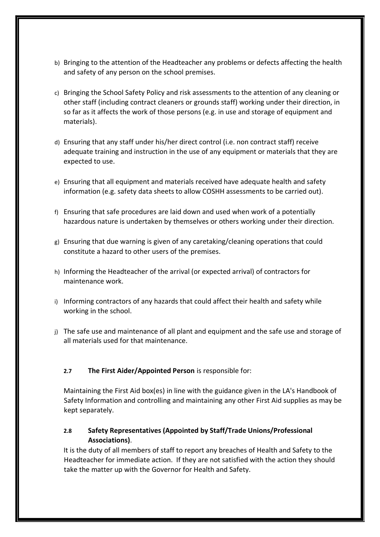- b) Bringing to the attention of the Headteacher any problems or defects affecting the health and safety of any person on the school premises.
- c) Bringing the School Safety Policy and risk assessments to the attention of any cleaning or other staff (including contract cleaners or grounds staff) working under their direction, in so far as it affects the work of those persons (e.g. in use and storage of equipment and materials).
- d) Ensuring that any staff under his/her direct control (i.e. non contract staff) receive adequate training and instruction in the use of any equipment or materials that they are expected to use.
- e) Ensuring that all equipment and materials received have adequate health and safety information (e.g. safety data sheets to allow COSHH assessments to be carried out).
- f) Ensuring that safe procedures are laid down and used when work of a potentially hazardous nature is undertaken by themselves or others working under their direction.
- g) Ensuring that due warning is given of any caretaking/cleaning operations that could constitute a hazard to other users of the premises.
- h) Informing the Headteacher of the arrival (or expected arrival) of contractors for maintenance work.
- i) Informing contractors of any hazards that could affect their health and safety while working in the school.
- j) The safe use and maintenance of all plant and equipment and the safe use and storage of all materials used for that maintenance.

#### **2.7 The First Aider/Appointed Person** is responsible for:

Maintaining the First Aid box(es) in line with the guidance given in the LA's Handbook of Safety Information and controlling and maintaining any other First Aid supplies as may be kept separately.

#### **2.8 Safety Representatives (Appointed by Staff/Trade Unions/Professional Associations)**.

It is the duty of all members of staff to report any breaches of Health and Safety to the Headteacher for immediate action. If they are not satisfied with the action they should take the matter up with the Governor for Health and Safety.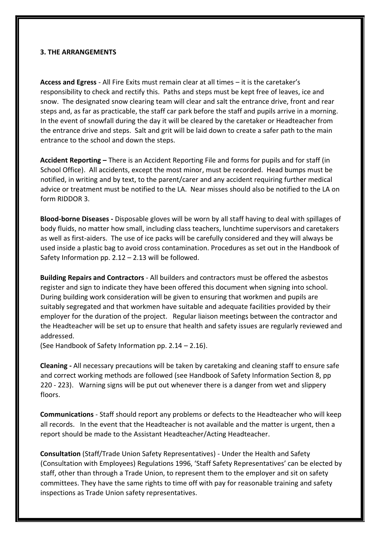#### **3. THE ARRANGEMENTS**

**Access and Egress** - All Fire Exits must remain clear at all times – it is the caretaker's responsibility to check and rectify this. Paths and steps must be kept free of leaves, ice and snow. The designated snow clearing team will clear and salt the entrance drive, front and rear steps and, as far as practicable, the staff car park before the staff and pupils arrive in a morning. In the event of snowfall during the day it will be cleared by the caretaker or Headteacher from the entrance drive and steps. Salt and grit will be laid down to create a safer path to the main entrance to the school and down the steps.

**Accident Reporting –** There is an Accident Reporting File and forms for pupils and for staff (in School Office). All accidents, except the most minor, must be recorded. Head bumps must be notified, in writing and by text, to the parent/carer and any accident requiring further medical advice or treatment must be notified to the LA. Near misses should also be notified to the LA on form RIDDOR 3.

**Blood-borne Diseases -** Disposable gloves will be worn by all staff having to deal with spillages of body fluids, no matter how small, including class teachers, lunchtime supervisors and caretakers as well as first-aiders. The use of ice packs will be carefully considered and they will always be used inside a plastic bag to avoid cross contamination. Procedures as set out in the Handbook of Safety Information pp. 2.12 – 2.13 will be followed.

**Building Repairs and Contractors** - All builders and contractors must be offered the asbestos register and sign to indicate they have been offered this document when signing into school. During building work consideration will be given to ensuring that workmen and pupils are suitably segregated and that workmen have suitable and adequate facilities provided by their employer for the duration of the project. Regular liaison meetings between the contractor and the Headteacher will be set up to ensure that health and safety issues are regularly reviewed and addressed.

(See Handbook of Safety Information pp. 2.14 – 2.16).

**Cleaning -** All necessary precautions will be taken by caretaking and cleaning staff to ensure safe and correct working methods are followed (see Handbook of Safety Information Section 8, pp 220 - 223). Warning signs will be put out whenever there is a danger from wet and slippery floors.

**Communications** - Staff should report any problems or defects to the Headteacher who will keep all records. In the event that the Headteacher is not available and the matter is urgent, then a report should be made to the Assistant Headteacher/Acting Headteacher.

**Consultation** (Staff/Trade Union Safety Representatives) - Under the Health and Safety (Consultation with Employees) Regulations 1996, 'Staff Safety Representatives' can be elected by staff, other than through a Trade Union, to represent them to the employer and sit on safety committees. They have the same rights to time off with pay for reasonable training and safety inspections as Trade Union safety representatives.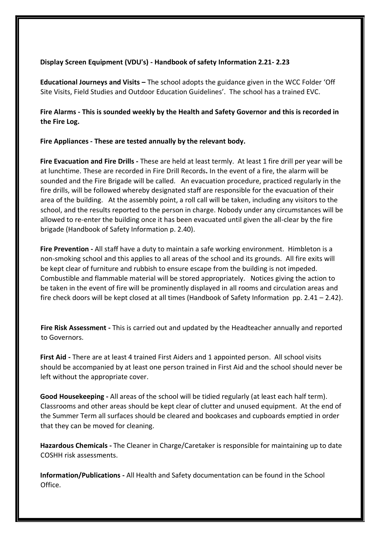#### **Display Screen Equipment (VDU's) - Handbook of safety Information 2.21- 2.23**

**Educational Journeys and Visits –** The school adopts the guidance given in the WCC Folder 'Off Site Visits, Field Studies and Outdoor Education Guidelines'. The school has a trained EVC.

**Fire Alarms - This is sounded weekly by the Health and Safety Governor and this is recorded in the Fire Log.** 

#### **Fire Appliances - These are tested annually by the relevant body.**

**Fire Evacuation and Fire Drills -** These are held at least termly. At least 1 fire drill per year will be at lunchtime. These are recorded in Fire Drill Records**.** In the event of a fire, the alarm will be sounded and the Fire Brigade will be called. An evacuation procedure, practiced regularly in the fire drills, will be followed whereby designated staff are responsible for the evacuation of their area of the building. At the assembly point, a roll call will be taken, including any visitors to the school, and the results reported to the person in charge. Nobody under any circumstances will be allowed to re-enter the building once it has been evacuated until given the all-clear by the fire brigade (Handbook of Safety Information p. 2.40).

**Fire Prevention -** All staff have a duty to maintain a safe working environment. Himbleton is a non-smoking school and this applies to all areas of the school and its grounds.All fire exits will be kept clear of furniture and rubbish to ensure escape from the building is not impeded. Combustible and flammable material will be stored appropriately. Notices giving the action to be taken in the event of fire will be prominently displayed in all rooms and circulation areas and fire check doors will be kept closed at all times (Handbook of Safety Information pp. 2.41 – 2.42).

**Fire Risk Assessment -** This is carried out and updated by the Headteacher annually and reported to Governors.

**First Aid -** There are at least 4 trained First Aiders and 1 appointed person. All school visits should be accompanied by at least one person trained in First Aid and the school should never be left without the appropriate cover.

**Good Housekeeping -** All areas of the school will be tidied regularly (at least each half term). Classrooms and other areas should be kept clear of clutter and unused equipment. At the end of the Summer Term all surfaces should be cleared and bookcases and cupboards emptied in order that they can be moved for cleaning.

**Hazardous Chemicals -** The Cleaner in Charge/Caretaker is responsible for maintaining up to date COSHH risk assessments.

**Information/Publications -** All Health and Safety documentation can be found in the School Office.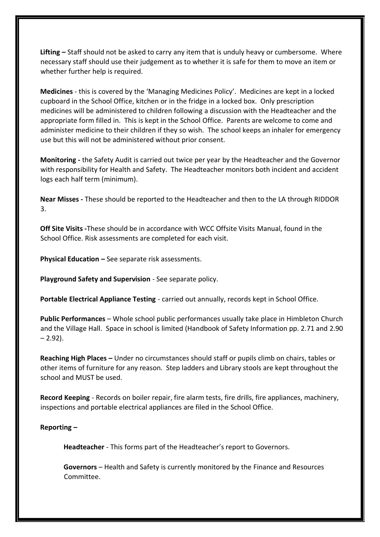**Lifting –** Staff should not be asked to carry any item that is unduly heavy or cumbersome. Where necessary staff should use their judgement as to whether it is safe for them to move an item or whether further help is required.

**Medicines** - this is covered by the 'Managing Medicines Policy'. Medicines are kept in a locked cupboard in the School Office, kitchen or in the fridge in a locked box. Only prescription medicines will be administered to children following a discussion with the Headteacher and the appropriate form filled in. This is kept in the School Office. Parents are welcome to come and administer medicine to their children if they so wish. The school keeps an inhaler for emergency use but this will not be administered without prior consent.

**Monitoring -** the Safety Audit is carried out twice per year by the Headteacher and the Governor with responsibility for Health and Safety. The Headteacher monitors both incident and accident logs each half term (minimum).

**Near Misses -** These should be reported to the Headteacher and then to the LA through RIDDOR 3.

**Off Site Visits -**These should be in accordance with WCC Offsite Visits Manual, found in the School Office. Risk assessments are completed for each visit.

**Physical Education –** See separate risk assessments.

**Playground Safety and Supervision** - See separate policy.

**Portable Electrical Appliance Testing** - carried out annually, records kept in School Office.

**Public Performances** – Whole school public performances usually take place in Himbleton Church and the Village Hall. Space in school is limited (Handbook of Safety Information pp. 2.71 and 2.90  $-2.92$ ).

**Reaching High Places –** Under no circumstances should staff or pupils climb on chairs, tables or other items of furniture for any reason. Step ladders and Library stools are kept throughout the school and MUST be used.

**Record Keeping** - Records on boiler repair, fire alarm tests, fire drills, fire appliances, machinery, inspections and portable electrical appliances are filed in the School Office.

#### **Reporting –**

**Headteacher** - This forms part of the Headteacher's report to Governors.

**Governors** – Health and Safety is currently monitored by the Finance and Resources Committee.